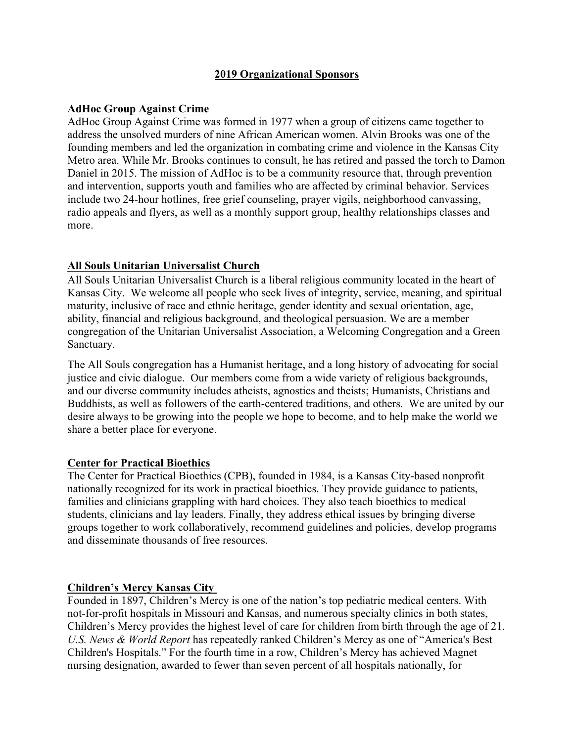# **2019 Organizational Sponsors**

### **AdHoc Group Against Crime**

AdHoc Group Against Crime was formed in 1977 when a group of citizens came together to address the unsolved murders of nine African American women. Alvin Brooks was one of the founding members and led the organization in combating crime and violence in the Kansas City Metro area. While Mr. Brooks continues to consult, he has retired and passed the torch to Damon Daniel in 2015. The mission of AdHoc is to be a community resource that, through prevention and intervention, supports youth and families who are affected by criminal behavior. Services include two 24-hour hotlines, free grief counseling, prayer vigils, neighborhood canvassing, radio appeals and flyers, as well as a monthly support group, healthy relationships classes and more.

### **All Souls Unitarian Universalist Church**

All Souls Unitarian Universalist Church is a liberal religious community located in the heart of Kansas City. We welcome all people who seek lives of integrity, service, meaning, and spiritual maturity, inclusive of race and ethnic heritage, gender identity and sexual orientation, age, ability, financial and religious background, and theological persuasion. We are a member congregation of the Unitarian Universalist Association, a Welcoming Congregation and a Green Sanctuary.

The All Souls congregation has a Humanist heritage, and a long history of advocating for social justice and civic dialogue. Our members come from a wide variety of religious backgrounds, and our diverse community includes atheists, agnostics and theists; Humanists, Christians and Buddhists, as well as followers of the earth-centered traditions, and others. We are united by our desire always to be growing into the people we hope to become, and to help make the world we share a better place for everyone.

### **Center for Practical Bioethics**

The Center for Practical Bioethics (CPB), founded in 1984, is a Kansas City-based nonprofit nationally recognized for its work in practical bioethics. They provide guidance to patients, families and clinicians grappling with hard choices. They also teach bioethics to medical students, clinicians and lay leaders. Finally, they address ethical issues by bringing diverse groups together to work collaboratively, recommend guidelines and policies, develop programs and disseminate thousands of free resources.

### **Children's Mercy Kansas City**

Founded in 1897, Children's Mercy is one of the nation's top pediatric medical centers. With not-for-profit hospitals in Missouri and Kansas, and numerous specialty clinics in both states, Children's Mercy provides the highest level of care for children from birth through the age of 21. *U.S. News & World Report* has repeatedly ranked Children's Mercy as one of "America's Best Children's Hospitals." For the fourth time in a row, Children's Mercy has achieved Magnet nursing designation, awarded to fewer than seven percent of all hospitals nationally, for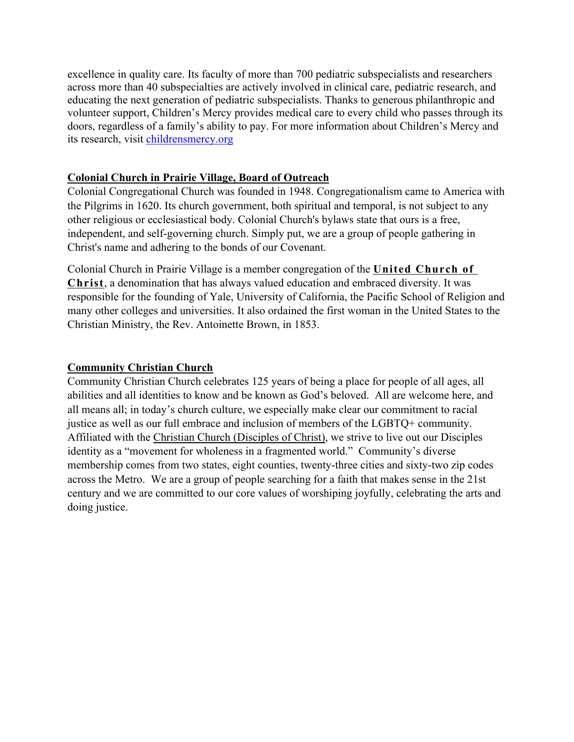excellence in quality care. Its faculty of more than 700 pediatric subspecialists and researchers across more than 40 subspecialties are actively involved in clinical care, pediatric research, and educating the next generation of pediatric subspecialists. Thanks to generous philanthropic and volunteer support, Children's Mercy provides medical care to every child who passes through its doors, regardless of a family's ability to pay. For more information about Children's Mercy and its research, visit childrensmercy.org

### **Colonial Church in Prairie Village, Board of Outreach**

Colonial Congregational Church was founded in 1948. Congregationalism came to America with the Pilgrims in 1620. Its church government, both spiritual and temporal, is not subject to any other religious or ecclesiastical body. Colonial Church's bylaws state that ours is a free, independent, and self-governing church. Simply put, we are a group of people gathering in Christ's name and adhering to the bonds of our Covenant.

Colonial Church in Prairie Village is a member congregation of the **United Church of Christ**, a denomination that has always valued education and embraced diversity. It was responsible for the founding of Yale, University of California, the Pacific School of Religion and many other colleges and universities. It also ordained the first woman in the United States to the Christian Ministry, the Rev. Antoinette Brown, in 1853.

### **Community Christian Church**

Community Christian Church celebrates 125 years of being a place for people of all ages, all abilities and all identities to know and be known as God's beloved. All are welcome here, and all means all; in today's church culture, we especially make clear our commitment to racial justice as well as our full embrace and inclusion of members of the LGBTQ+ community. Affiliated with the Christian Church (Disciples of Christ), we strive to live out our Disciples identity as a "movement for wholeness in a fragmented world." Community's diverse membership comes from two states, eight counties, twenty-three cities and sixty-two zip codes across the Metro. We are a group of people searching for a faith that makes sense in the 21st century and we are committed to our core values of worshiping joyfully, celebrating the arts and doing justice.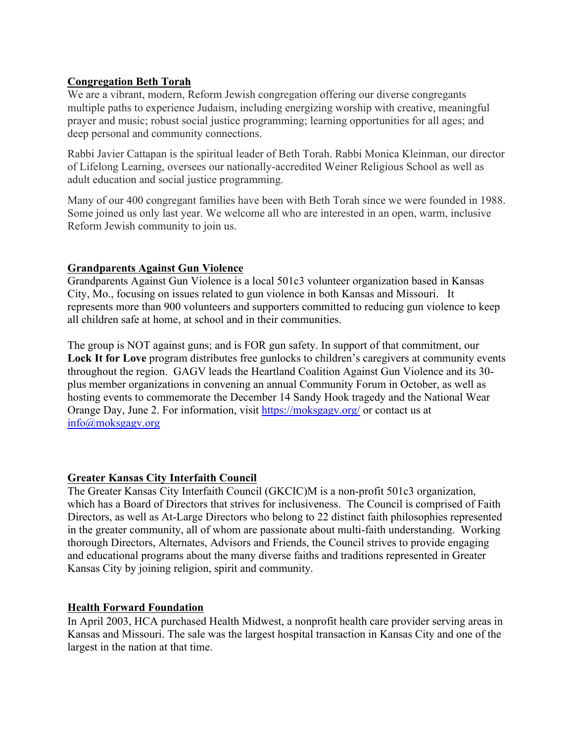# **Congregation Beth Torah**

We are a vibrant, modern, Reform Jewish congregation offering our diverse congregants multiple paths to experience Judaism, including energizing worship with creative, meaningful prayer and music; robust social justice programming; learning opportunities for all ages; and deep personal and community connections.

Rabbi Javier Cattapan is the spiritual leader of Beth Torah. Rabbi Monica Kleinman, our director of Lifelong Learning, oversees our nationally-accredited Weiner Religious School as well as adult education and social justice programming.

Many of our 400 congregant families have been with Beth Torah since we were founded in 1988. Some joined us only last year. We welcome all who are interested in an open, warm, inclusive Reform Jewish community to join us.

# **Grandparents Against Gun Violence**

Grandparents Against Gun Violence is a local 501c3 volunteer organization based in Kansas City, Mo., focusing on issues related to gun violence in both Kansas and Missouri. It represents more than 900 volunteers and supporters committed to reducing gun violence to keep all children safe at home, at school and in their communities.

The group is NOT against guns; and is FOR gun safety. In support of that commitment, our Lock It for Love program distributes free gunlocks to children's caregivers at community events throughout the region. GAGV leads the Heartland Coalition Against Gun Violence and its 30 plus member organizations in convening an annual Community Forum in October, as well as hosting events to commemorate the December 14 Sandy Hook tragedy and the National Wear Orange Day, June 2. For information, visit https://moksgagv.org/ or contact us at info@moksgagv.org

# **Greater Kansas City Interfaith Council**

The Greater Kansas City Interfaith Council (GKCIC)M is a non-profit 501c3 organization, which has a Board of Directors that strives for inclusiveness. The Council is comprised of Faith Directors, as well as At-Large Directors who belong to 22 distinct faith philosophies represented in the greater community, all of whom are passionate about multi-faith understanding. Working thorough Directors, Alternates, Advisors and Friends, the Council strives to provide engaging and educational programs about the many diverse faiths and traditions represented in Greater Kansas City by joining religion, spirit and community.

# **Health Forward Foundation**

In April 2003, HCA purchased Health Midwest, a nonprofit health care provider serving areas in Kansas and Missouri. The sale was the largest hospital transaction in Kansas City and one of the largest in the nation at that time.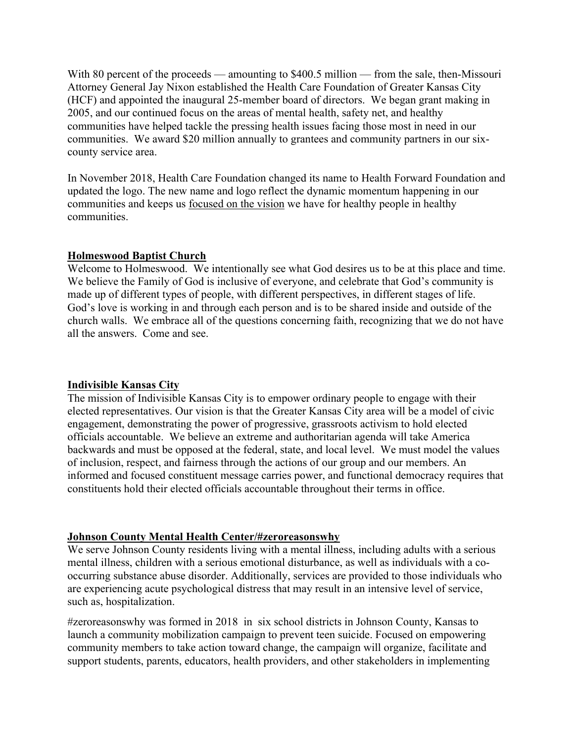With 80 percent of the proceeds — amounting to \$400.5 million — from the sale, then-Missouri Attorney General Jay Nixon established the Health Care Foundation of Greater Kansas City (HCF) and appointed the inaugural 25-member board of directors. We began grant making in 2005, and our continued focus on the areas of mental health, safety net, and healthy communities have helped tackle the pressing health issues facing those most in need in our communities. We award \$20 million annually to grantees and community partners in our sixcounty service area.

In November 2018, Health Care Foundation changed its name to Health Forward Foundation and updated the logo. The new name and logo reflect the dynamic momentum happening in our communities and keeps us focused on the vision we have for healthy people in healthy communities.

### **Holmeswood Baptist Church**

Welcome to Holmeswood. We intentionally see what God desires us to be at this place and time. We believe the Family of God is inclusive of everyone, and celebrate that God's community is made up of different types of people, with different perspectives, in different stages of life. God's love is working in and through each person and is to be shared inside and outside of the church walls. We embrace all of the questions concerning faith, recognizing that we do not have all the answers. Come and see.

#### **Indivisible Kansas City**

The mission of Indivisible Kansas City is to empower ordinary people to engage with their elected representatives. Our vision is that the Greater Kansas City area will be a model of civic engagement, demonstrating the power of progressive, grassroots activism to hold elected officials accountable. We believe an extreme and authoritarian agenda will take America backwards and must be opposed at the federal, state, and local level. We must model the values of inclusion, respect, and fairness through the actions of our group and our members. An informed and focused constituent message carries power, and functional democracy requires that constituents hold their elected officials accountable throughout their terms in office.

#### **Johnson County Mental Health Center/#zeroreasonswhy**

We serve Johnson County residents living with a mental illness, including adults with a serious mental illness, children with a serious emotional disturbance, as well as individuals with a cooccurring substance abuse disorder. Additionally, services are provided to those individuals who are experiencing acute psychological distress that may result in an intensive level of service, such as, hospitalization.

#zeroreasonswhy was formed in 2018 in six school districts in Johnson County, Kansas to launch a community mobilization campaign to prevent teen suicide. Focused on empowering community members to take action toward change, the campaign will organize, facilitate and support students, parents, educators, health providers, and other stakeholders in implementing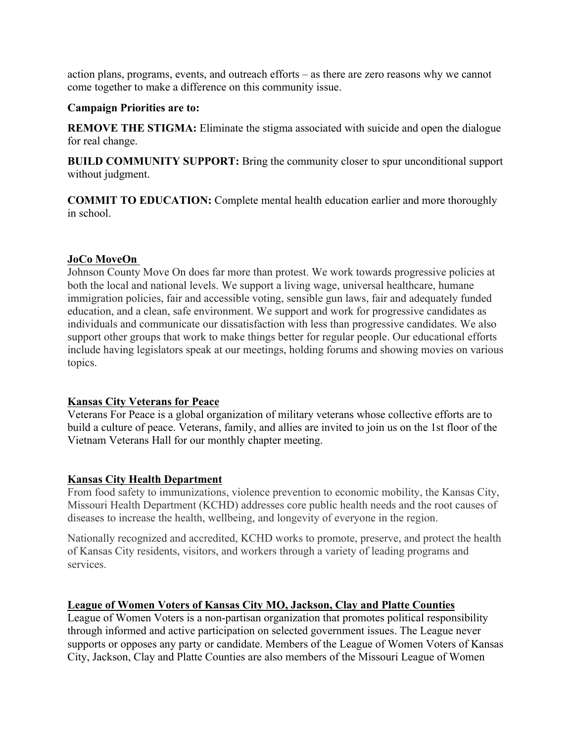action plans, programs, events, and outreach efforts – as there are zero reasons why we cannot come together to make a difference on this community issue.

### **Campaign Priorities are to:**

**REMOVE THE STIGMA:** Eliminate the stigma associated with suicide and open the dialogue for real change.

**BUILD COMMUNITY SUPPORT:** Bring the community closer to spur unconditional support without judgment.

**COMMIT TO EDUCATION:** Complete mental health education earlier and more thoroughly in school.

# **JoCo MoveOn**

Johnson County Move On does far more than protest. We work towards progressive policies at both the local and national levels. We support a living wage, universal healthcare, humane immigration policies, fair and accessible voting, sensible gun laws, fair and adequately funded education, and a clean, safe environment. We support and work for progressive candidates as individuals and communicate our dissatisfaction with less than progressive candidates. We also support other groups that work to make things better for regular people. Our educational efforts include having legislators speak at our meetings, holding forums and showing movies on various topics.

### **Kansas City Veterans for Peace**

Veterans For Peace is a global organization of military veterans whose collective efforts are to build a culture of peace. Veterans, family, and allies are invited to join us on the 1st floor of the Vietnam Veterans Hall for our monthly chapter meeting.

# **Kansas City Health Department**

From food safety to immunizations, violence prevention to economic mobility, the Kansas City, Missouri Health Department (KCHD) addresses core public health needs and the root causes of diseases to increase the health, wellbeing, and longevity of everyone in the region.

Nationally recognized and accredited, KCHD works to promote, preserve, and protect the health of Kansas City residents, visitors, and workers through a variety of leading programs and services.

# **League of Women Voters of Kansas City MO, Jackson, Clay and Platte Counties**

League of Women Voters is a non-partisan organization that promotes political responsibility through informed and active participation on selected government issues. The League never supports or opposes any party or candidate. Members of the League of Women Voters of Kansas City, Jackson, Clay and Platte Counties are also members of the Missouri League of Women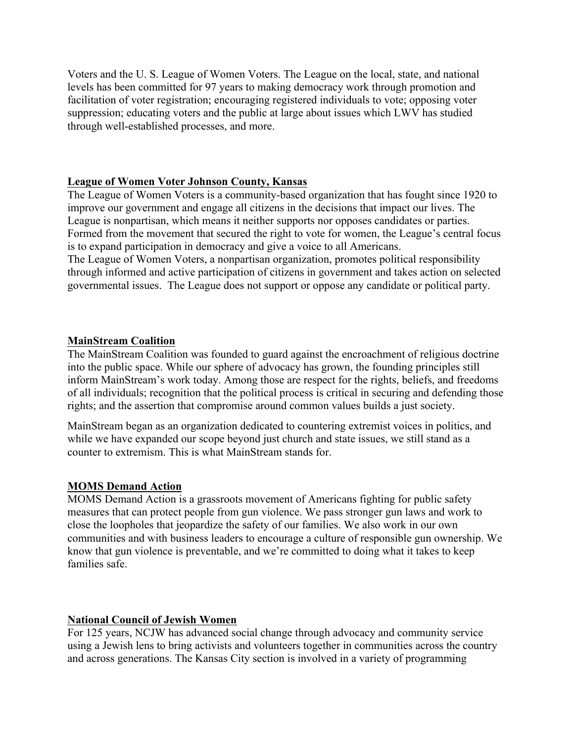Voters and the U. S. League of Women Voters. The League on the local, state, and national levels has been committed for 97 years to making democracy work through promotion and facilitation of voter registration; encouraging registered individuals to vote; opposing voter suppression; educating voters and the public at large about issues which LWV has studied through well-established processes, and more.

### **League of Women Voter Johnson County, Kansas**

The League of Women Voters is a community-based organization that has fought since 1920 to improve our government and engage all citizens in the decisions that impact our lives. The League is nonpartisan, which means it neither supports nor opposes candidates or parties. Formed from the movement that secured the right to vote for women, the League's central focus is to expand participation in democracy and give a voice to all Americans.

The League of Women Voters, a nonpartisan organization, promotes political responsibility through informed and active participation of citizens in government and takes action on selected governmental issues. The League does not support or oppose any candidate or political party.

### **MainStream Coalition**

The MainStream Coalition was founded to guard against the encroachment of religious doctrine into the public space. While our sphere of advocacy has grown, the founding principles still inform MainStream's work today. Among those are respect for the rights, beliefs, and freedoms of all individuals; recognition that the political process is critical in securing and defending those rights; and the assertion that compromise around common values builds a just society.

MainStream began as an organization dedicated to countering extremist voices in politics, and while we have expanded our scope beyond just church and state issues, we still stand as a counter to extremism. This is what MainStream stands for.

### **MOMS Demand Action**

MOMS Demand Action is a grassroots movement of Americans fighting for public safety measures that can protect people from gun violence. We pass stronger gun laws and work to close the loopholes that jeopardize the safety of our families. We also work in our own communities and with business leaders to encourage a culture of responsible gun ownership. We know that gun violence is preventable, and we're committed to doing what it takes to keep families safe.

### **National Council of Jewish Women**

For 125 years, NCJW has advanced social change through advocacy and community service using a Jewish lens to bring activists and volunteers together in communities across the country and across generations. The Kansas City section is involved in a variety of programming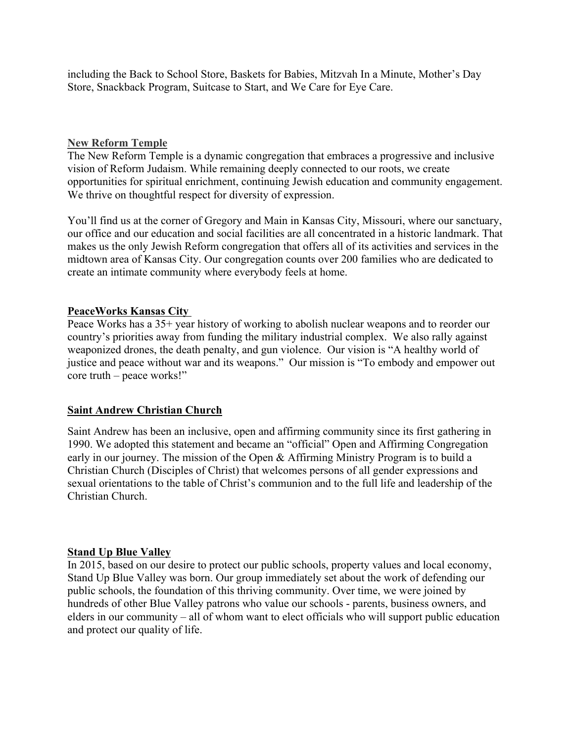including the Back to School Store, Baskets for Babies, Mitzvah In a Minute, Mother's Day Store, Snackback Program, Suitcase to Start, and We Care for Eye Care.

#### **New Reform Temple**

The New Reform Temple is a dynamic congregation that embraces a progressive and inclusive vision of Reform Judaism. While remaining deeply connected to our roots, we create opportunities for spiritual enrichment, continuing Jewish education and community engagement. We thrive on thoughtful respect for diversity of expression.

You'll find us at the corner of Gregory and Main in Kansas City, Missouri, where our sanctuary, our office and our education and social facilities are all concentrated in a historic landmark. That makes us the only Jewish Reform congregation that offers all of its activities and services in the midtown area of Kansas City. Our congregation counts over 200 families who are dedicated to create an intimate community where everybody feels at home.

### **PeaceWorks Kansas City**

Peace Works has a 35+ year history of working to abolish nuclear weapons and to reorder our country's priorities away from funding the military industrial complex. We also rally against weaponized drones, the death penalty, and gun violence. Our vision is "A healthy world of justice and peace without war and its weapons." Our mission is "To embody and empower out core truth – peace works!"

### **Saint Andrew Christian Church**

Saint Andrew has been an inclusive, open and affirming community since its first gathering in 1990. We adopted this statement and became an "official" Open and Affirming Congregation early in our journey. The mission of the Open & Affirming Ministry Program is to build a Christian Church (Disciples of Christ) that welcomes persons of all gender expressions and sexual orientations to the table of Christ's communion and to the full life and leadership of the Christian Church.

### **Stand Up Blue Valley**

In 2015, based on our desire to protect our public schools, property values and local economy, Stand Up Blue Valley was born. Our group immediately set about the work of defending our public schools, the foundation of this thriving community. Over time, we were joined by hundreds of other Blue Valley patrons who value our schools - parents, business owners, and elders in our community – all of whom want to elect officials who will support public education and protect our quality of life.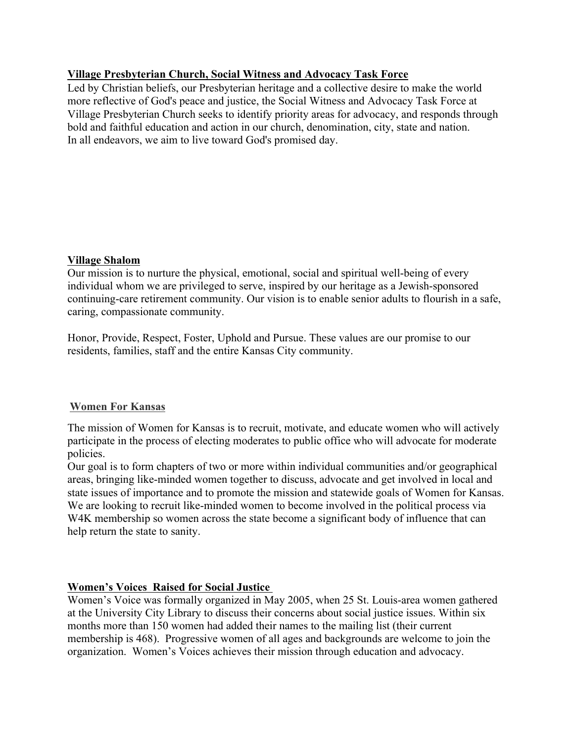# **Village Presbyterian Church, Social Witness and Advocacy Task Force**

Led by Christian beliefs, our Presbyterian heritage and a collective desire to make the world more reflective of God's peace and justice, the Social Witness and Advocacy Task Force at Village Presbyterian Church seeks to identify priority areas for advocacy, and responds through bold and faithful education and action in our church, denomination, city, state and nation. In all endeavors, we aim to live toward God's promised day.

# **Village Shalom**

Our mission is to nurture the physical, emotional, social and spiritual well-being of every individual whom we are privileged to serve, inspired by our heritage as a Jewish-sponsored continuing-care retirement community. Our vision is to enable senior adults to flourish in a safe, caring, compassionate community.

Honor, Provide, Respect, Foster, Uphold and Pursue. These values are our promise to our residents, families, staff and the entire Kansas City community.

### **Women For Kansas**

The mission of Women for Kansas is to recruit, motivate, and educate women who will actively participate in the process of electing moderates to public office who will advocate for moderate policies.

Our goal is to form chapters of two or more within individual communities and/or geographical areas, bringing like-minded women together to discuss, advocate and get involved in local and state issues of importance and to promote the mission and statewide goals of Women for Kansas. We are looking to recruit like-minded women to become involved in the political process via W4K membership so women across the state become a significant body of influence that can help return the state to sanity.

# **Women's Voices Raised for Social Justice**

Women's Voice was formally organized in May 2005, when 25 St. Louis-area women gathered at the University City Library to discuss their concerns about social justice issues. Within six months more than 150 women had added their names to the mailing list (their current membership is 468). Progressive women of all ages and backgrounds are welcome to join the organization. Women's Voices achieves their mission through education and advocacy.